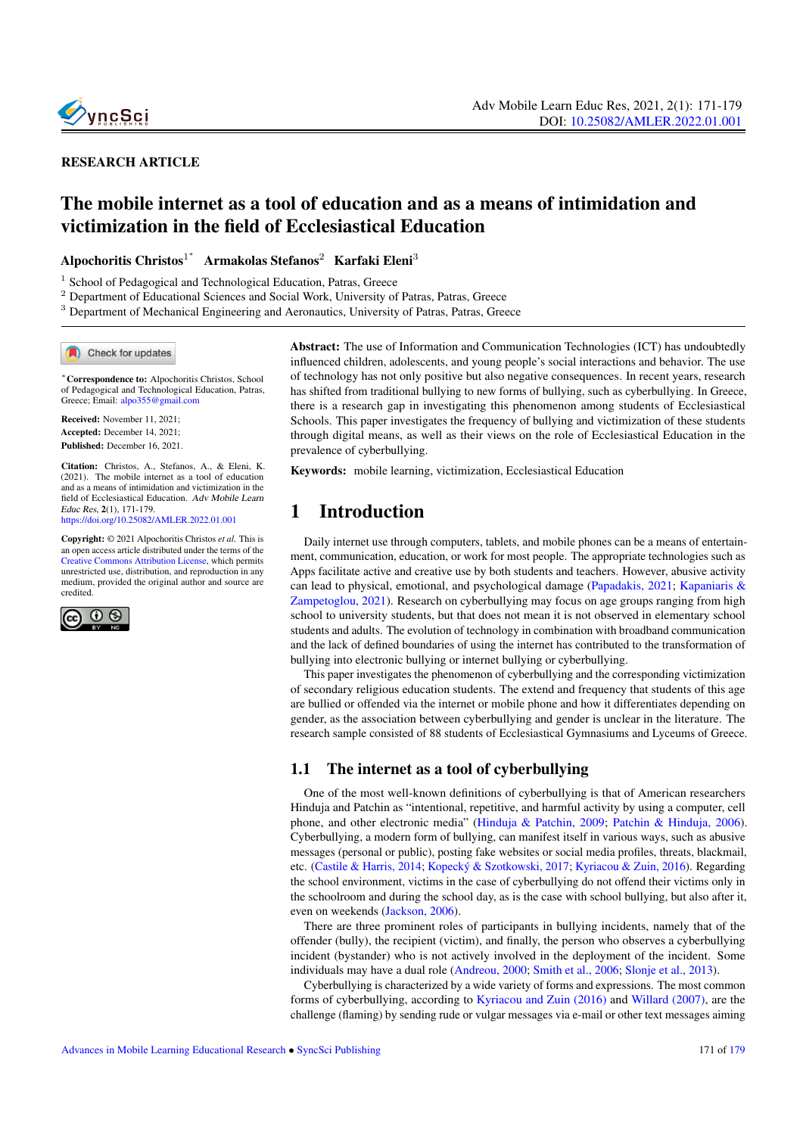

#### RESEARCH ARTICLE

# The mobile internet as a tool of education and as a means of intimidation and victimization in the field of Ecclesiastical Education

Alpochoritis Christos $^{1^*}$  Armakolas Stefanos $^2$  Karfaki Eleni $^3$ 

<sup>1</sup> School of Pedagogical and Technological Education, Patras, Greece

<sup>2</sup> Department of Educational Sciences and Social Work, University of Patras, Patras, Greece

<sup>3</sup> Department of Mechanical Engineering and Aeronautics, University of Patras, Patras, Greece

Check for updates

<sup>∗</sup>Correspondence to: Alpochoritis Christos, School of Pedagogical and Technological Education, Patras, Greece; Email: <alpo355@gmail.com>

Received: November 11, 2021; Accepted: December 14, 2021; Published: December 16, 2021.

Citation: Christos, A., Stefanos, A., & Eleni, K. (2021). The mobile internet as a tool of education and as a means of intimidation and victimization in the field of Ecclesiastical Education. Adv Mobile Learn Educ Res, 2(1), 171-179. <https://doi.org/10.25082/AMLER.2022.01.001>

Copyright: © 2021 Alpochoritis Christos *et al*. This is an open access article distributed under the terms of the [Creative Commons Attribution License,](https://creativecommons.org/licenses/by/4.0/) which permits unrestricted use, distribution, and reproduction in any medium, provided the original author and source are credited.



Abstract: The use of Information and Communication Technologies (ICT) has undoubtedly influenced children, adolescents, and young people's social interactions and behavior. The use of technology has not only positive but also negative consequences. In recent years, research has shifted from traditional bullying to new forms of bullying, such as cyberbullying. In Greece, there is a research gap in investigating this phenomenon among students of Ecclesiastical Schools. This paper investigates the frequency of bullying and victimization of these students through digital means, as well as their views on the role of Ecclesiastical Education in the prevalence of cyberbullying.

Keywords: mobile learning, victimization, Ecclesiastical Education

### 1 Introduction

Daily internet use through computers, tablets, and mobile phones can be a means of entertainment, communication, education, or work for most people. The appropriate technologies such as Apps facilitate active and creative use by both students and teachers. However, abusive activity can lead to physical, emotional, and psychological damage (Papadakis, 2021; Kapaniaris & Zampetoglou, 2021). Research on cyberbullying may focus on age groups ranging from high school to university students, but that does not mean it is not observed in elementary school students and adults. The evolution of technology in combination with broadband communication and the lack of defined boundaries of using the internet has contributed to the transformation of bullying into electronic bullying or internet bullying or cyberbullying.

This paper investigates the phenomenon of cyberbullying and the corresponding victimization of secondary religious education students. The extend and frequency that students of this age are bullied or offended via the internet or mobile phone and how it differentiates depending on gender, as the association between cyberbullying and gender is unclear in the literature. The research sample consisted of 88 students of Ecclesiastical Gymnasiums and Lyceums of Greece.

#### 1.1 The internet as a tool of cyberbullying

One of the most well-known definitions of cyberbullying is that of American researchers Hinduja and Patchin as "intentional, repetitive, and harmful activity by using a computer, cell phone, and other electronic media" (Hinduja & Patchin, 2009; Patchin & Hinduja, 2006). Cyberbullying, a modern form of bullying, can manifest itself in various ways, such as abusive messages (personal or public), posting fake websites or social media profiles, threats, blackmail, etc. (Castile & Harris, 2014; Kopecký & Szotkowski, 2017; Kyriacou & Zuin, 2016). Regarding the school environment, victims in the case of cyberbullying do not offend their victims only in the schoolroom and during the school day, as is the case with school bullying, but also after it, even on weekends (Jackson, 2006).

There are three prominent roles of participants in bullying incidents, namely that of the offender (bully), the recipient (victim), and finally, the person who observes a cyberbullying incident (bystander) who is not actively involved in the deployment of the incident. Some individuals may have a dual role (Andreou, 2000; Smith et al., 2006; Slonje et al., 2013).

Cyberbullying is characterized by a wide variety of forms and expressions. The most common forms of cyberbullying, according to Kyriacou and Zuin (2016) and Willard (2007), are the challenge (flaming) by sending rude or vulgar messages via e-mail or other text messages aiming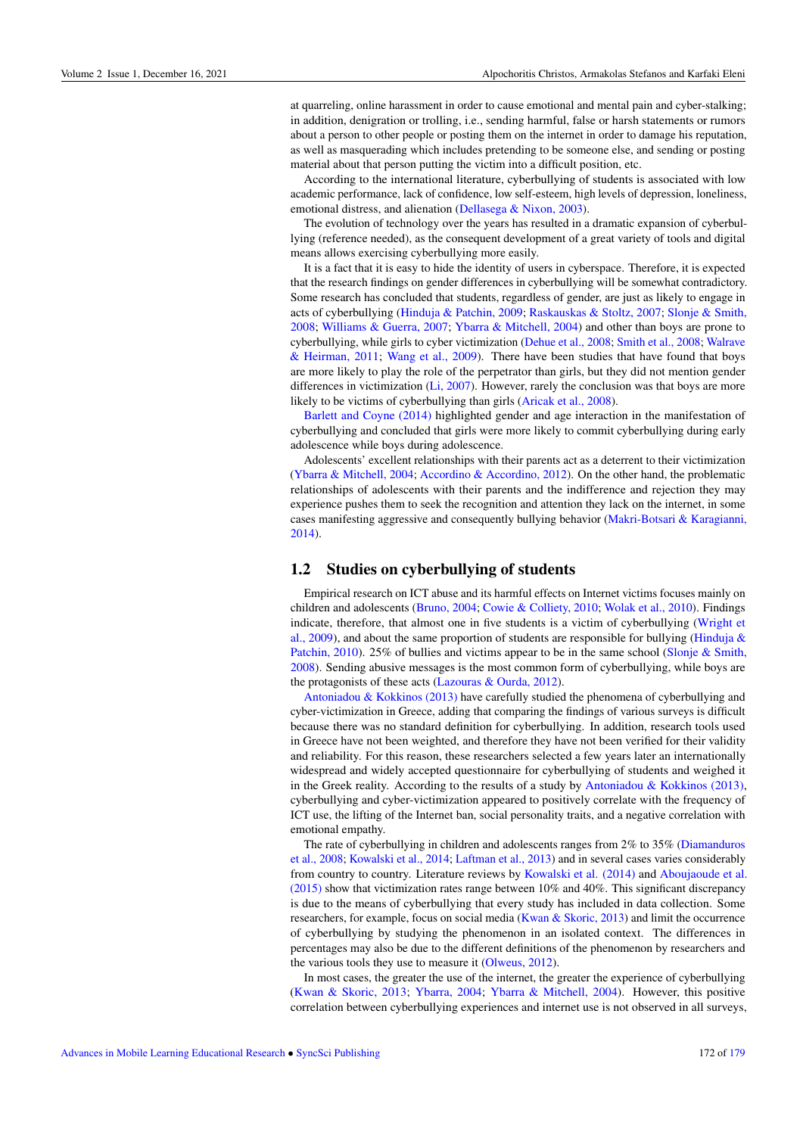at quarreling, online harassment in order to cause emotional and mental pain and cyber-stalking; in addition, denigration or trolling, i.e., sending harmful, false or harsh statements or rumors about a person to other people or posting them on the internet in order to damage his reputation, as well as masquerading which includes pretending to be someone else, and sending or posting material about that person putting the victim into a difficult position, etc.

According to the international literature, cyberbullying of students is associated with low academic performance, lack of confidence, low self-esteem, high levels of depression, loneliness, emotional distress, and alienation (Dellasega & Nixon, 2003).

The evolution of technology over the years has resulted in a dramatic expansion of cyberbullying (reference needed), as the consequent development of a great variety of tools and digital means allows exercising cyberbullying more easily.

It is a fact that it is easy to hide the identity of users in cyberspace. Therefore, it is expected that the research findings on gender differences in cyberbullying will be somewhat contradictory. Some research has concluded that students, regardless of gender, are just as likely to engage in acts of cyberbullying (Hinduja & Patchin, 2009; Raskauskas & Stoltz, 2007; Slonje & Smith, 2008; Williams & Guerra, 2007; Ybarra & Mitchell, 2004) and other than boys are prone to cyberbullying, while girls to cyber victimization (Dehue et al., 2008; Smith et al., 2008; Walrave & Heirman, 2011; Wang et al., 2009). There have been studies that have found that boys are more likely to play the role of the perpetrator than girls, but they did not mention gender differences in victimization (Li, 2007). However, rarely the conclusion was that boys are more likely to be victims of cyberbullying than girls (Aricak et al., 2008).

Barlett and Coyne (2014) highlighted gender and age interaction in the manifestation of cyberbullying and concluded that girls were more likely to commit cyberbullying during early adolescence while boys during adolescence.

Adolescents' excellent relationships with their parents act as a deterrent to their victimization (Ybarra & Mitchell, 2004; Accordino & Accordino, 2012). On the other hand, the problematic relationships of adolescents with their parents and the indifference and rejection they may experience pushes them to seek the recognition and attention they lack on the internet, in some cases manifesting aggressive and consequently bullying behavior (Makri-Botsari & Karagianni, 2014).

#### 1.2 Studies on cyberbullying of students

Empirical research on ICT abuse and its harmful effects on Internet victims focuses mainly on children and adolescents (Bruno, 2004; Cowie & Colliety, 2010; Wolak et al., 2010). Findings indicate, therefore, that almost one in five students is a victim of cyberbullying (Wright et al., 2009), and about the same proportion of students are responsible for bullying (Hinduja  $\&$ Patchin, 2010). 25% of bullies and victims appear to be in the same school (Slonje & Smith, 2008). Sending abusive messages is the most common form of cyberbullying, while boys are the protagonists of these acts (Lazouras & Ourda, 2012).

Antoniadou & Kokkinos (2013) have carefully studied the phenomena of cyberbullying and cyber-victimization in Greece, adding that comparing the findings of various surveys is difficult because there was no standard definition for cyberbullying. In addition, research tools used in Greece have not been weighted, and therefore they have not been verified for their validity and reliability. For this reason, these researchers selected a few years later an internationally widespread and widely accepted questionnaire for cyberbullying of students and weighed it in the Greek reality. According to the results of a study by Antoniadou & Kokkinos (2013), cyberbullying and cyber-victimization appeared to positively correlate with the frequency of ICT use, the lifting of the Internet ban, social personality traits, and a negative correlation with emotional empathy.

The rate of cyberbullying in children and adolescents ranges from 2% to 35% (Diamanduros et al., 2008; Kowalski et al., 2014; Laftman et al., 2013) and in several cases varies considerably from country to country. Literature reviews by Kowalski et al. (2014) and Aboujaoude et al. (2015) show that victimization rates range between 10% and 40%. This significant discrepancy is due to the means of cyberbullying that every study has included in data collection. Some researchers, for example, focus on social media (Kwan & Skoric, 2013) and limit the occurrence of cyberbullying by studying the phenomenon in an isolated context. The differences in percentages may also be due to the different definitions of the phenomenon by researchers and the various tools they use to measure it (Olweus, 2012).

In most cases, the greater the use of the internet, the greater the experience of cyberbullying (Kwan & Skoric, 2013; Ybarra, 2004; Ybarra & Mitchell, 2004). However, this positive correlation between cyberbullying experiences and internet use is not observed in all surveys,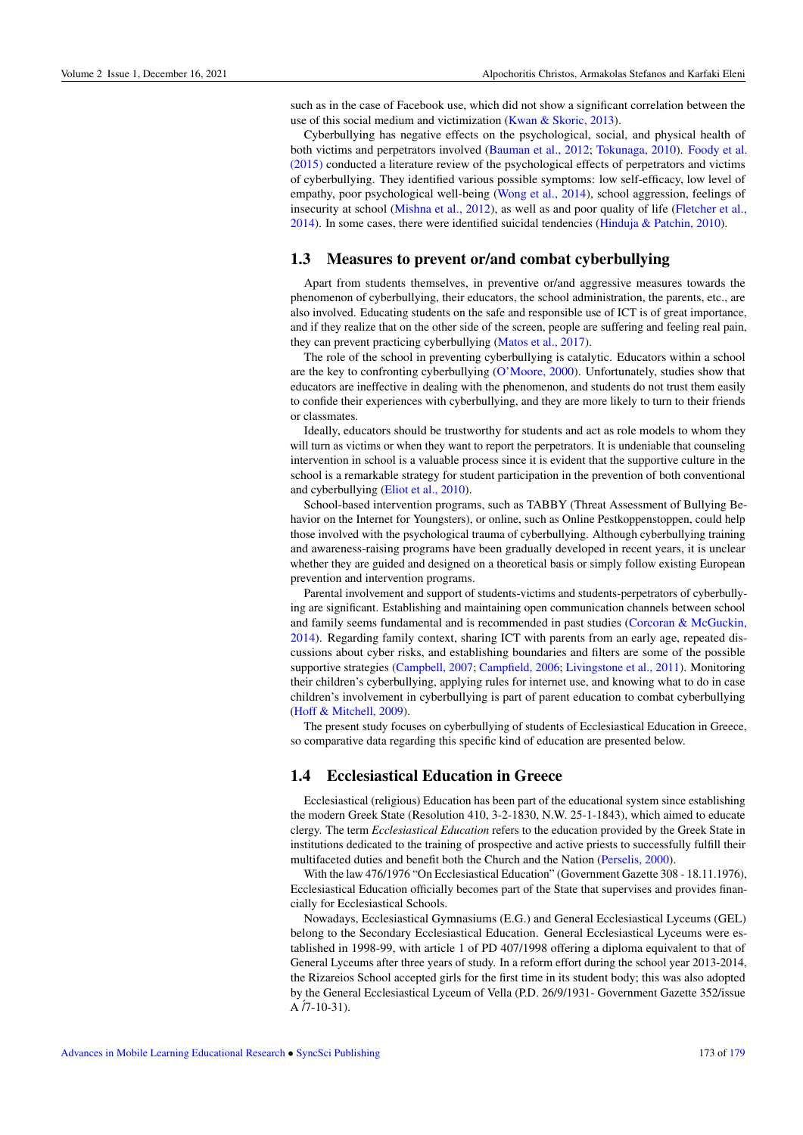such as in the case of Facebook use, which did not show a significant correlation between the use of this social medium and victimization (Kwan & Skoric, 2013).

Cyberbullying has negative effects on the psychological, social, and physical health of both victims and perpetrators involved (Bauman et al., 2012; Tokunaga, 2010). Foody et al. (2015) conducted a literature review of the psychological effects of perpetrators and victims of cyberbullying. They identified various possible symptoms: low self-efficacy, low level of empathy, poor psychological well-being (Wong et al., 2014), school aggression, feelings of insecurity at school (Mishna et al., 2012), as well as and poor quality of life (Fletcher et al., 2014). In some cases, there were identified suicidal tendencies (Hinduja & Patchin, 2010).

#### 1.3 Measures to prevent or/and combat cyberbullying

Apart from students themselves, in preventive or/and aggressive measures towards the phenomenon of cyberbullying, their educators, the school administration, the parents, etc., are also involved. Educating students on the safe and responsible use of ICT is of great importance, and if they realize that on the other side of the screen, people are suffering and feeling real pain, they can prevent practicing cyberbullying (Matos et al., 2017).

The role of the school in preventing cyberbullying is catalytic. Educators within a school are the key to confronting cyberbullying (O'Moore, 2000). Unfortunately, studies show that educators are ineffective in dealing with the phenomenon, and students do not trust them easily to confide their experiences with cyberbullying, and they are more likely to turn to their friends or classmates.

Ideally, educators should be trustworthy for students and act as role models to whom they will turn as victims or when they want to report the perpetrators. It is undeniable that counseling intervention in school is a valuable process since it is evident that the supportive culture in the school is a remarkable strategy for student participation in the prevention of both conventional and cyberbullying (Eliot et al., 2010).

School-based intervention programs, such as TABBY (Threat Assessment of Bullying Behavior on the Internet for Youngsters), or online, such as Online Pestkoppenstoppen, could help those involved with the psychological trauma of cyberbullying. Although cyberbullying training and awareness-raising programs have been gradually developed in recent years, it is unclear whether they are guided and designed on a theoretical basis or simply follow existing European prevention and intervention programs.

Parental involvement and support of students-victims and students-perpetrators of cyberbullying are significant. Establishing and maintaining open communication channels between school and family seems fundamental and is recommended in past studies (Corcoran & McGuckin, 2014). Regarding family context, sharing ICT with parents from an early age, repeated discussions about cyber risks, and establishing boundaries and filters are some of the possible supportive strategies (Campbell, 2007; Campfield, 2006; Livingstone et al., 2011). Monitoring their children's cyberbullying, applying rules for internet use, and knowing what to do in case children's involvement in cyberbullying is part of parent education to combat cyberbullying (Hoff & Mitchell, 2009).

The present study focuses on cyberbullying of students of Ecclesiastical Education in Greece, so comparative data regarding this specific kind of education are presented below.

#### 1.4 Ecclesiastical Education in Greece

Ecclesiastical (religious) Education has been part of the educational system since establishing the modern Greek State (Resolution 410, 3-2-1830, N.W. 25-1-1843), which aimed to educate clergy. The term *Ecclesiastical Education* refers to the education provided by the Greek State in institutions dedicated to the training of prospective and active priests to successfully fulfill their multifaceted duties and benefit both the Church and the Nation (Perselis, 2000).

With the law 476/1976 "On Ecclesiastical Education" (Government Gazette 308 - 18.11.1976), Ecclesiastical Education officially becomes part of the State that supervises and provides financially for Ecclesiastical Schools.

Nowadays, Ecclesiastical Gymnasiums (E.G.) and General Ecclesiastical Lyceums (GEL) belong to the Secondary Ecclesiastical Education. General Ecclesiastical Lyceums were established in 1998-99, with article 1 of PD 407/1998 offering a diploma equivalent to that of General Lyceums after three years of study. In a reform effort during the school year 2013-2014, the Rizareios School accepted girls for the first time in its student body; this was also adopted by the General Ecclesiastical Lyceum of Vella (P.D. 26/9/1931- Government Gazette 352/issue  $A / 7 - 10 - 31$ .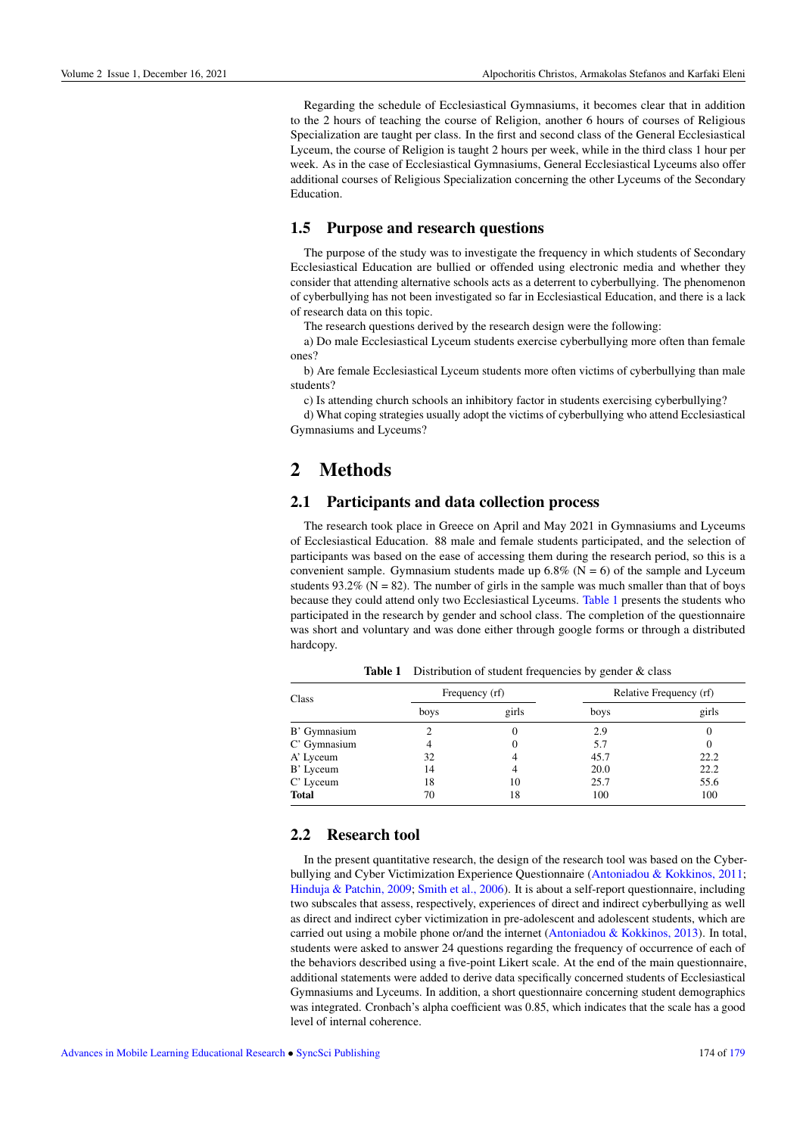Regarding the schedule of Ecclesiastical Gymnasiums, it becomes clear that in addition to the 2 hours of teaching the course of Religion, another 6 hours of courses of Religious Specialization are taught per class. In the first and second class of the General Ecclesiastical Lyceum, the course of Religion is taught 2 hours per week, while in the third class 1 hour per week. As in the case of Ecclesiastical Gymnasiums, General Ecclesiastical Lyceums also offer additional courses of Religious Specialization concerning the other Lyceums of the Secondary Education.

#### 1.5 Purpose and research questions

The purpose of the study was to investigate the frequency in which students of Secondary Ecclesiastical Education are bullied or offended using electronic media and whether they consider that attending alternative schools acts as a deterrent to cyberbullying. The phenomenon of cyberbullying has not been investigated so far in Ecclesiastical Education, and there is a lack of research data on this topic.

The research questions derived by the research design were the following:

a) Do male Ecclesiastical Lyceum students exercise cyberbullying more often than female ones?

b) Are female Ecclesiastical Lyceum students more often victims of cyberbullying than male students?

c) Is attending church schools an inhibitory factor in students exercising cyberbullying?

d) What coping strategies usually adopt the victims of cyberbullying who attend Ecclesiastical Gymnasiums and Lyceums?

## 2 Methods

#### 2.1 Participants and data collection process

The research took place in Greece on April and May 2021 in Gymnasiums and Lyceums of Ecclesiastical Education. 88 male and female students participated, and the selection of participants was based on the ease of accessing them during the research period, so this is a convenient sample. Gymnasium students made up  $6.8\%$  (N = 6) of the sample and Lyceum students 93.2% ( $N = 82$ ). The number of girls in the sample was much smaller than that of boys because they could attend only two Ecclesiastical Lyceums. [Table 1](#page-3-0) presents the students who participated in the research by gender and school class. The completion of the questionnaire was short and voluntary and was done either through google forms or through a distributed hardcopy.

<span id="page-3-0"></span>

| Class        | Frequency (rf) |       | Relative Frequency (rf) |       |
|--------------|----------------|-------|-------------------------|-------|
|              | boys           | girls | boys                    | girls |
| B' Gymnasium |                |       | 2.9                     |       |
| C' Gymnasium |                |       | 5.7                     |       |
| A' Lyceum    | 32             |       | 45.7                    | 22.2  |
| B' Lyceum    | 14             |       | 20.0                    | 22.2  |
| C' Lyceum    | 18             | 10    | 25.7                    | 55.6  |
| <b>Total</b> | 70             | 18    | 100                     | 100   |

Table 1 Distribution of student frequencies by gender & class

#### 2.2 Research tool

In the present quantitative research, the design of the research tool was based on the Cyberbullying and Cyber Victimization Experience Questionnaire (Antoniadou & Kokkinos, 2011; Hinduja & Patchin, 2009; Smith et al., 2006). It is about a self-report questionnaire, including two subscales that assess, respectively, experiences of direct and indirect cyberbullying as well as direct and indirect cyber victimization in pre-adolescent and adolescent students, which are carried out using a mobile phone or/and the internet (Antoniadou & Kokkinos, 2013). In total, students were asked to answer 24 questions regarding the frequency of occurrence of each of the behaviors described using a five-point Likert scale. At the end of the main questionnaire, additional statements were added to derive data specifically concerned students of Ecclesiastical Gymnasiums and Lyceums. In addition, a short questionnaire concerning student demographics was integrated. Cronbach's alpha coefficient was 0.85, which indicates that the scale has a good level of internal coherence.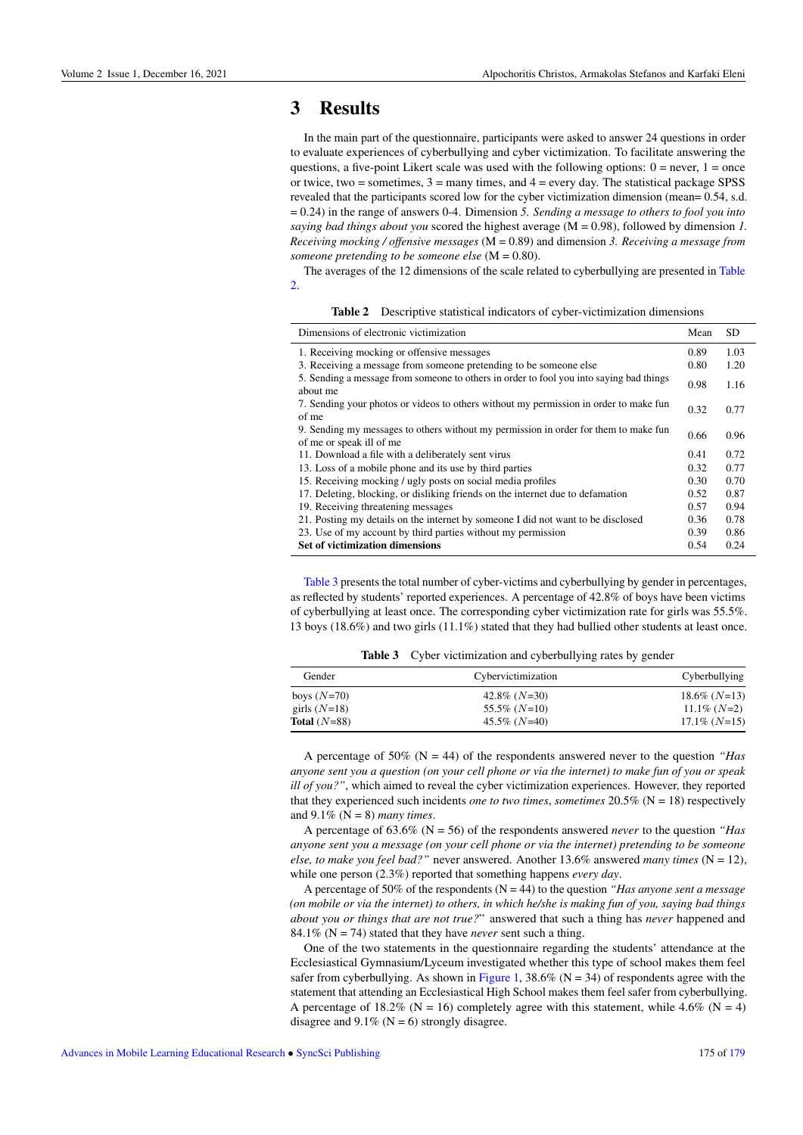### 3 Results

In the main part of the questionnaire, participants were asked to answer 24 questions in order to evaluate experiences of cyberbullying and cyber victimization. To facilitate answering the questions, a five-point Likert scale was used with the following options:  $0 =$  never,  $1 =$  once or twice, two  $=$  sometimes,  $3 =$  many times, and  $4 =$  every day. The statistical package SPSS revealed that the participants scored low for the cyber victimization dimension (mean= 0.54, s.d. = 0.24) in the range of answers 0-4. Dimension *5. Sending a message to others to fool you into saying bad things about you* scored the highest average (M = 0.98), followed by dimension *1. Receiving mocking / offensive messages* (M = 0.89) and dimension *3. Receiving a message from someone pretending to be someone else* (M = 0.80).

The averages of the 12 dimensions of the scale related to cyberbullying are presented in [Table](#page-4-0) [2.](#page-4-0)

Table 2 Descriptive statistical indicators of cyber-victimization dimensions

<span id="page-4-0"></span>

| Dimensions of electronic victimization                                                                           | Mean | SD.  |
|------------------------------------------------------------------------------------------------------------------|------|------|
| 1. Receiving mocking or offensive messages                                                                       | 0.89 | 1.03 |
| 3. Receiving a message from someone pretending to be someone else                                                | 0.80 | 1.20 |
| 5. Sending a message from someone to others in order to fool you into saying bad things<br>about me              | 0.98 | 1.16 |
| 7. Sending your photos or videos to others without my permission in order to make fun<br>of me                   |      | 0.77 |
| 9. Sending my messages to others without my permission in order for them to make fun<br>of me or speak ill of me |      | 0.96 |
| 11. Download a file with a deliberately sent virus                                                               | 0.41 | 0.72 |
| 13. Loss of a mobile phone and its use by third parties                                                          |      | 0.77 |
| 15. Receiving mocking / ugly posts on social media profiles                                                      |      | 0.70 |
| 17. Deleting, blocking, or disliking friends on the internet due to defamation                                   |      | 0.87 |
| 19. Receiving threatening messages                                                                               | 0.57 | 0.94 |
| 21. Posting my details on the internet by someone I did not want to be disclosed                                 |      | 0.78 |
| 23. Use of my account by third parties without my permission                                                     |      | 0.86 |
| <b>Set of victimization dimensions</b>                                                                           | 0.54 | 0.24 |

[Table 3](#page-4-1) presents the total number of cyber-victims and cyberbullying by gender in percentages, as reflected by students' reported experiences. A percentage of 42.8% of boys have been victims of cyberbullying at least once. The corresponding cyber victimization rate for girls was 55.5%. 13 boys (18.6%) and two girls (11.1%) stated that they had bullied other students at least once.

Table 3 Cyber victimization and cyberbullying rates by gender

<span id="page-4-1"></span>

| Gender         | Cybervictimization | Cyberbullying   |  |
|----------------|--------------------|-----------------|--|
| boys $(N=70)$  | 42.8% $(N=30)$     | $18.6\%$ (N=13) |  |
| girls $(N=18)$ | $55.5\%$ (N=10)    | $11.1\%$ (N=2)  |  |
| Total $(N=88)$ | $45.5\%$ (N=40)    | $17.1\%$ (N=15) |  |

A percentage of 50% (N = 44) of the respondents answered never to the question *"Has anyone sent you a question (on your cell phone or via the internet) to make fun of you or speak ill of you?"*, which aimed to reveal the cyber victimization experiences. However, they reported that they experienced such incidents *one to two times*, *sometimes* 20.5% (N = 18) respectively and 9.1% (N = 8) *many times*.

A percentage of 63.6% (N = 56) of the respondents answered *never* to the question *"Has anyone sent you a message (on your cell phone or via the internet) pretending to be someone else, to make you feel bad?"* never answered. Another  $13.6\%$  answered *many times* (N = 12), while one person (2.3%) reported that something happens *every day*.

A percentage of 50% of the respondents (N = 44) to the question *"Has anyone sent a message (on mobile or via the internet) to others, in which he/she is making fun of you, saying bad things about you or things that are not true?*" answered that such a thing has *never* happened and 84.1% ( $N = 74$ ) stated that they have *never* sent such a thing.

One of the two statements in the questionnaire regarding the students' attendance at the Ecclesiastical Gymnasium/Lyceum investigated whether this type of school makes them feel safer from cyberbullying. As shown in [Figure 1,](#page-5-0) 38.6% ( $N = 34$ ) of respondents agree with the statement that attending an Ecclesiastical High School makes them feel safer from cyberbullying. A percentage of 18.2% ( $N = 16$ ) completely agree with this statement, while 4.6% ( $N = 4$ ) disagree and  $9.1\%$  (N = 6) strongly disagree.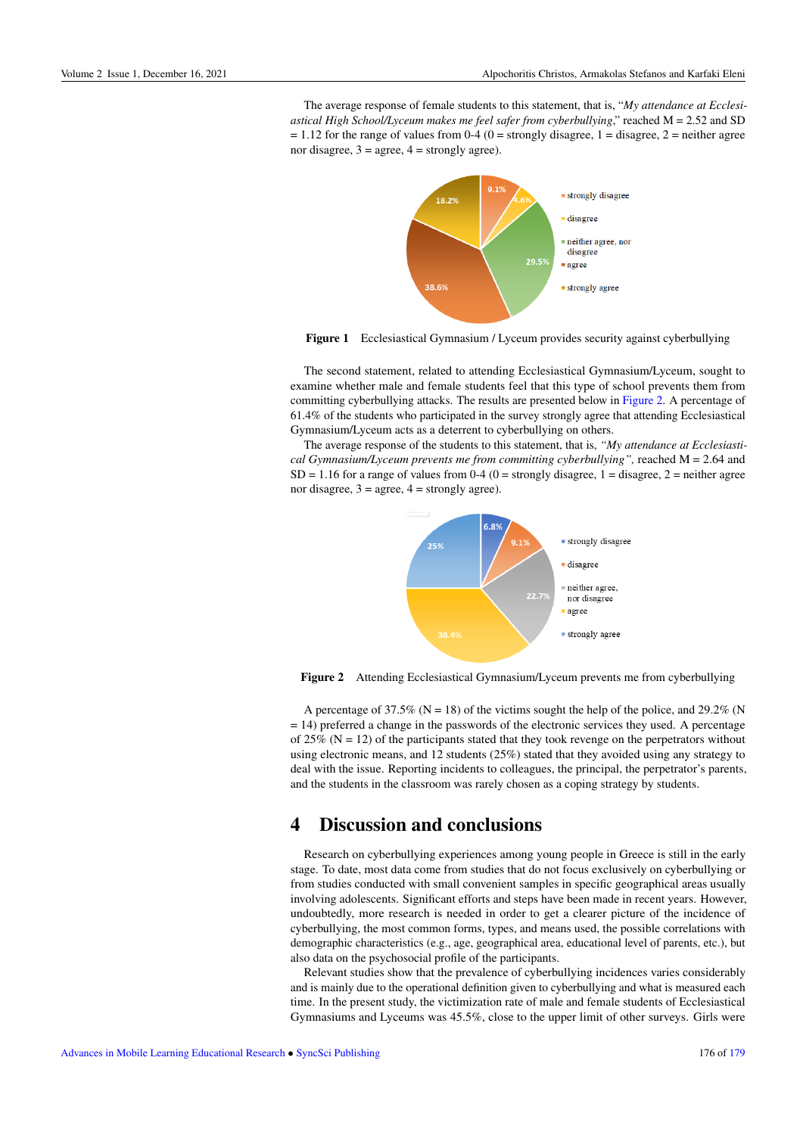<span id="page-5-0"></span>The average response of female students to this statement, that is, "*My attendance at Ecclesiastical High School/Lyceum makes me feel safer from cyberbullying*," reached M = 2.52 and SD  $= 1.12$  for the range of values from 0-4 (0 = strongly disagree, 1 = disagree, 2 = neither agree nor disagree,  $3 = \text{agree}$ ,  $4 = \text{strongly agree}$ ).



Figure 1 Ecclesiastical Gymnasium / Lyceum provides security against cyberbullying

The second statement, related to attending Ecclesiastical Gymnasium/Lyceum, sought to examine whether male and female students feel that this type of school prevents them from committing cyberbullying attacks. The results are presented below in [Figure 2.](#page-5-1) A percentage of 61.4% of the students who participated in the survey strongly agree that attending Ecclesiastical Gymnasium/Lyceum acts as a deterrent to cyberbullying on others.

<span id="page-5-1"></span>The average response of the students to this statement, that is, *"My attendance at Ecclesiastical Gymnasium/Lyceum prevents me from committing cyberbullying",* reached M = 2.64 and  $SD = 1.16$  for a range of values from 0-4 (0 = strongly disagree, 1 = disagree, 2 = neither agree nor disagree,  $3 = \text{agree}$ ,  $4 = \text{strongly agree}$ ).



Figure 2 Attending Ecclesiastical Gymnasium/Lyceum prevents me from cyberbullying

A percentage of 37.5% ( $N = 18$ ) of the victims sought the help of the police, and 29.2% (N = 14) preferred a change in the passwords of the electronic services they used. A percentage of 25% ( $N = 12$ ) of the participants stated that they took revenge on the perpetrators without using electronic means, and 12 students (25%) stated that they avoided using any strategy to deal with the issue. Reporting incidents to colleagues, the principal, the perpetrator's parents, and the students in the classroom was rarely chosen as a coping strategy by students.

### 4 Discussion and conclusions

Research on cyberbullying experiences among young people in Greece is still in the early stage. To date, most data come from studies that do not focus exclusively on cyberbullying or from studies conducted with small convenient samples in specific geographical areas usually involving adolescents. Significant efforts and steps have been made in recent years. However, undoubtedly, more research is needed in order to get a clearer picture of the incidence of cyberbullying, the most common forms, types, and means used, the possible correlations with demographic characteristics (e.g., age, geographical area, educational level of parents, etc.), but also data on the psychosocial profile of the participants.

Relevant studies show that the prevalence of cyberbullying incidences varies considerably and is mainly due to the operational definition given to cyberbullying and what is measured each time. In the present study, the victimization rate of male and female students of Ecclesiastical Gymnasiums and Lyceums was 45.5%, close to the upper limit of other surveys. Girls were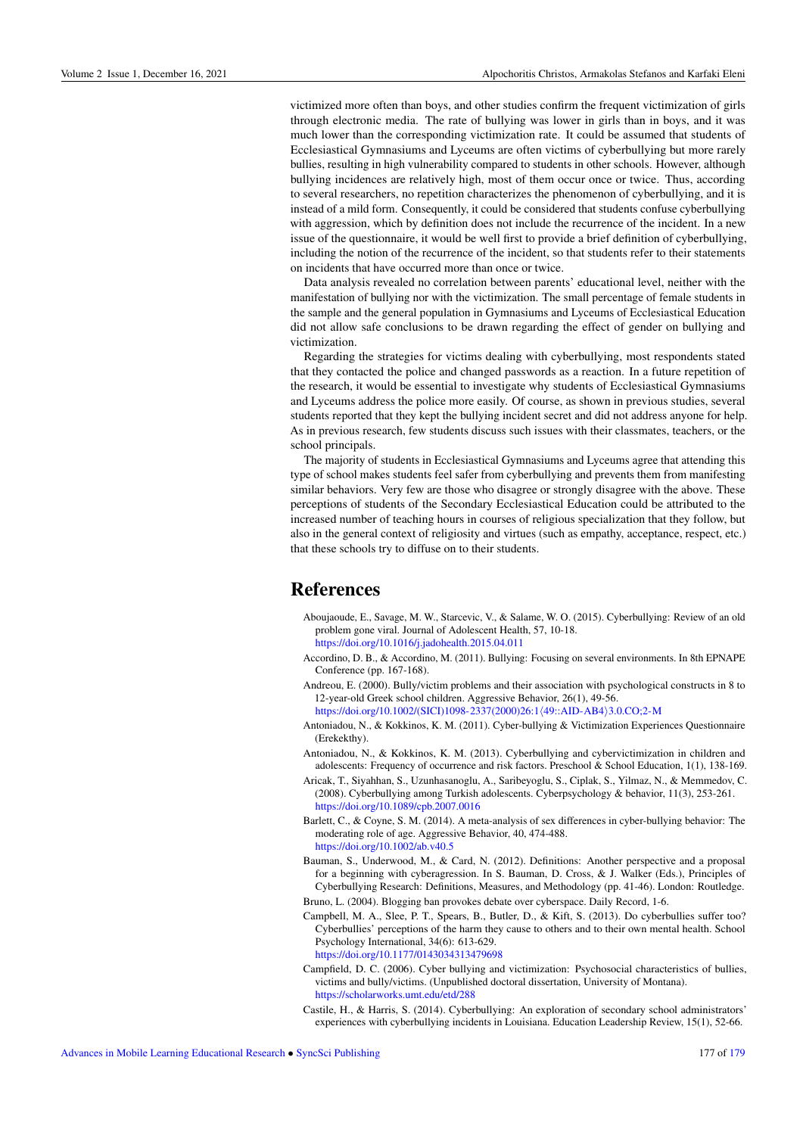victimized more often than boys, and other studies confirm the frequent victimization of girls through electronic media. The rate of bullying was lower in girls than in boys, and it was much lower than the corresponding victimization rate. It could be assumed that students of Ecclesiastical Gymnasiums and Lyceums are often victims of cyberbullying but more rarely bullies, resulting in high vulnerability compared to students in other schools. However, although bullying incidences are relatively high, most of them occur once or twice. Thus, according to several researchers, no repetition characterizes the phenomenon of cyberbullying, and it is instead of a mild form. Consequently, it could be considered that students confuse cyberbullying with aggression, which by definition does not include the recurrence of the incident. In a new issue of the questionnaire, it would be well first to provide a brief definition of cyberbullying, including the notion of the recurrence of the incident, so that students refer to their statements on incidents that have occurred more than once or twice.

Data analysis revealed no correlation between parents' educational level, neither with the manifestation of bullying nor with the victimization. The small percentage of female students in the sample and the general population in Gymnasiums and Lyceums of Ecclesiastical Education did not allow safe conclusions to be drawn regarding the effect of gender on bullying and victimization.

Regarding the strategies for victims dealing with cyberbullying, most respondents stated that they contacted the police and changed passwords as a reaction. In a future repetition of the research, it would be essential to investigate why students of Ecclesiastical Gymnasiums and Lyceums address the police more easily. Of course, as shown in previous studies, several students reported that they kept the bullying incident secret and did not address anyone for help. As in previous research, few students discuss such issues with their classmates, teachers, or the school principals.

The majority of students in Ecclesiastical Gymnasiums and Lyceums agree that attending this type of school makes students feel safer from cyberbullying and prevents them from manifesting similar behaviors. Very few are those who disagree or strongly disagree with the above. These perceptions of students of the Secondary Ecclesiastical Education could be attributed to the increased number of teaching hours in courses of religious specialization that they follow, but also in the general context of religiosity and virtues (such as empathy, acceptance, respect, etc.) that these schools try to diffuse on to their students.

### References

- Aboujaoude, E., Savage, M. W., Starcevic, V., & Salame, W. O. (2015). Cyberbullying: Review of an old problem gone viral. Journal of Adolescent Health, 57, 10-18. <https://doi.org/10.1016/j.jadohealth.2015.04.011>
- Accordino, D. B., & Accordino, M. (2011). Bullying: Focusing on several environments. In 8th EPNAPE Conference (pp. 167-168).
- Andreou, E. (2000). Bully/victim problems and their association with psychological constructs in 8 to 12-year-old Greek school children. Aggressive Behavior, 26(1), 49-56. [https://doi.org/10.1002/\(SICI\)1098-2337\(2000\)26:1](https://doi.org/10.1002/(SICI)1098-2337(2000)26:1<49::AID-AB4>3.0.CO;2-M)/49::AID-AB4)3.0.CO;2-M
- Antoniadou, N., & Kokkinos, K. M. (2011). Cyber-bullying & Victimization Experiences Questionnaire (Erekekthy).
- Antoniadou, N., & Kokkinos, K. M. (2013). Cyberbullying and cybervictimization in children and adolescents: Frequency of occurrence and risk factors. Preschool & School Education, 1(1), 138-169.
- Aricak, T., Siyahhan, S., Uzunhasanoglu, A., Saribeyoglu, S., Ciplak, S., Yilmaz, N., & Memmedov, C. (2008). Cyberbullying among Turkish adolescents. Cyberpsychology & behavior, 11(3), 253-261. <https://doi.org/10.1089/cpb.2007.0016>
- Barlett, C., & Coyne, S. M. (2014). A meta-analysis of sex differences in cyber-bullying behavior: The moderating role of age. Aggressive Behavior, 40, 474-488. <https://doi.org/10.1002/ab.v40.5>
- Bauman, S., Underwood, M., & Card, N. (2012). Definitions: Another perspective and a proposal for a beginning with cyberagression. In S. Bauman, D. Cross, & J. Walker (Eds.), Principles of Cyberbullying Research: Definitions, Measures, and Methodology (pp. 41-46). London: Routledge.
- Bruno, L. (2004). Blogging ban provokes debate over cyberspace. Daily Record, 1-6.
- Campbell, M. A., Slee, P. T., Spears, B., Butler, D., & Kift, S. (2013). Do cyberbullies suffer too? Cyberbullies' perceptions of the harm they cause to others and to their own mental health. School Psychology International, 34(6): 613-629. <https://doi.org/10.1177/0143034313479698>
- Campfield, D. C. (2006). Cyber bullying and victimization: Psychosocial characteristics of bullies, victims and bully/victims. (Unpublished doctoral dissertation, University of Montana). <https://scholarworks.umt.edu/etd/288>
- Castile, H., & Harris, S. (2014). Cyberbullying: An exploration of secondary school administrators' experiences with cyberbullying incidents in Louisiana. Education Leadership Review, 15(1), 52-66.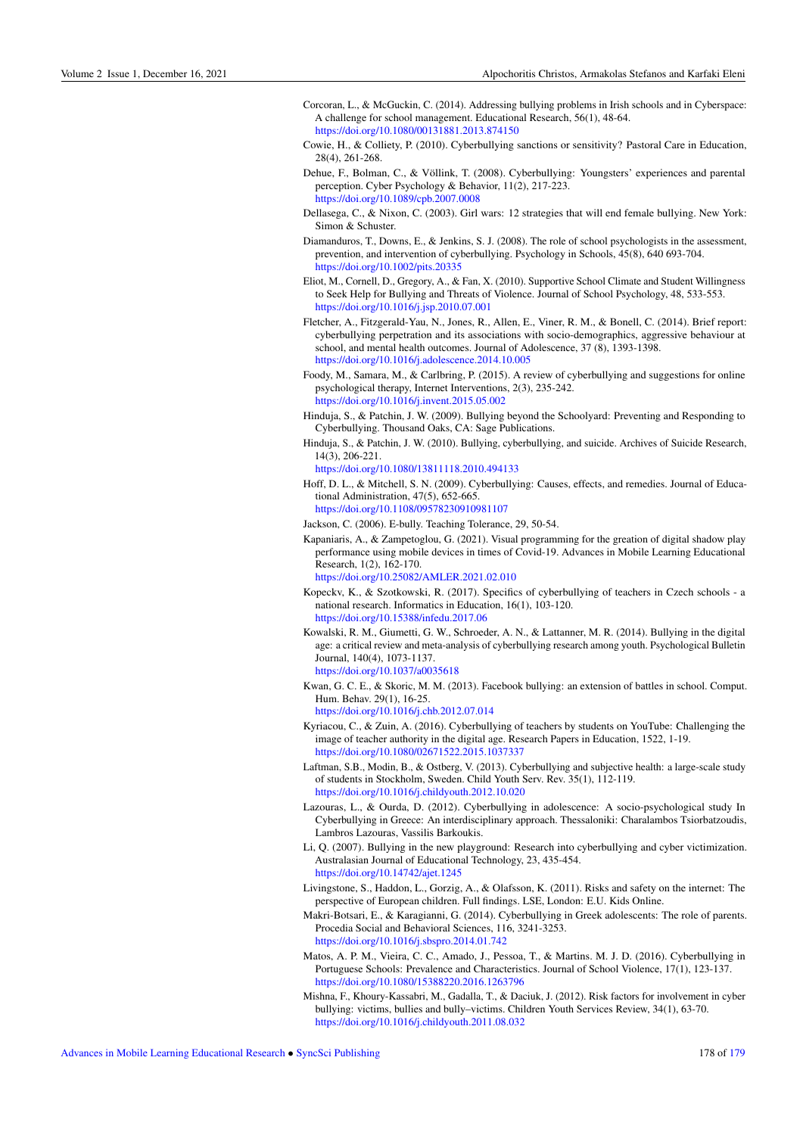- Corcoran, L., & McGuckin, C. (2014). Addressing bullying problems in Irish schools and in Cyberspace: A challenge for school management. Educational Research, 56(1), 48-64. <https://doi.org/10.1080/00131881.2013.874150>
- Cowie, H., & Colliety, P. (2010). Cyberbullying sanctions or sensitivity? Pastoral Care in Education, 28(4), 261-268.
- Dehue, F., Bolman, C., & Völlink, T. (2008). Cyberbullying: Youngsters' experiences and parental perception. Cyber Psychology & Behavior, 11(2), 217-223. <https://doi.org/10.1089/cpb.2007.0008>
- Dellasega, C., & Nixon, C. (2003). Girl wars: 12 strategies that will end female bullying. New York: Simon & Schuster.
- Diamanduros, T., Downs, E., & Jenkins, S. J. (2008). The role of school psychologists in the assessment, prevention, and intervention of cyberbullying. Psychology in Schools, 45(8), 640 693-704. <https://doi.org/10.1002/pits.20335>
- Eliot, M., Cornell, D., Gregory, A., & Fan, X. (2010). Supportive School Climate and Student Willingness to Seek Help for Bullying and Threats of Violence. Journal of School Psychology, 48, 533-553. <https://doi.org/10.1016/j.jsp.2010.07.001>
- Fletcher, A., Fitzgerald-Yau, N., Jones, R., Allen, E., Viner, R. M., & Bonell, C. (2014). Brief report: cyberbullying perpetration and its associations with socio-demographics, aggressive behaviour at school, and mental health outcomes. Journal of Adolescence, 37 (8), 1393-1398. <https://doi.org/10.1016/j.adolescence.2014.10.005>
- Foody, M., Samara, M., & Carlbring, P. (2015). A review of cyberbullying and suggestions for online psychological therapy, Internet Interventions, 2(3), 235-242. <https://doi.org/10.1016/j.invent.2015.05.002>
- Hinduja, S., & Patchin, J. W. (2009). Bullying beyond the Schoolyard: Preventing and Responding to Cyberbullying. Thousand Oaks, CA: Sage Publications.
- Hinduja, S., & Patchin, J. W. (2010). Bullying, cyberbullying, and suicide. Archives of Suicide Research, 14(3), 206-221.

<https://doi.org/10.1080/13811118.2010.494133>

- Hoff, D. L., & Mitchell, S. N. (2009). Cyberbullying: Causes, effects, and remedies. Journal of Educational Administration, 47(5), 652-665. <https://doi.org/10.1108/09578230910981107>
- Jackson, C. (2006). E-bully. Teaching Tolerance, 29, 50-54.
- Kapaniaris, A., & Zampetoglou, G. (2021). Visual programming for the greation of digital shadow play performance using mobile devices in times of Covid-19. Advances in Mobile Learning Educational Research, 1(2), 162-170.

<https://doi.org/10.25082/AMLER.2021.02.010>

- Kopeckv, K., & Szotkowski, R. (2017). Specifics of cyberbullying of teachers in Czech schools a national research. Informatics in Education, 16(1), 103-120. [https://doi.org/10.15388/infedu.2017.06](https://doi.org/10.15388/infedu.2017.06 )
- Kowalski, R. M., Giumetti, G. W., Schroeder, A. N., & Lattanner, M. R. (2014). Bullying in the digital age: a critical review and meta-analysis of cyberbullying research among youth. Psychological Bulletin Journal, 140(4), 1073-1137. <https://doi.org/10.1037/a0035618>
- Kwan, G. C. E., & Skoric, M. M. (2013). Facebook bullying: an extension of battles in school. Comput. Hum. Behav. 29(1), 16-25.

<https://doi.org/10.1016/j.chb.2012.07.014>

- Kyriacou, C., & Zuin, A. (2016). Cyberbullying of teachers by students on YouTube: Challenging the image of teacher authority in the digital age. Research Papers in Education, 1522, 1-19. <https://doi.org/10.1080/02671522.2015.1037337>
- Laftman, S.B., Modin, B., & Ostberg, V. (2013). Cyberbullying and subjective health: a large-scale study of students in Stockholm, Sweden. Child Youth Serv. Rev. 35(1), 112-119. <https://doi.org/10.1016/j.childyouth.2012.10.020>
- Lazouras, L., & Ourda, D. (2012). Cyberbullying in adolescence: A socio-psychological study In Cyberbullying in Greece: An interdisciplinary approach. Thessaloniki: Charalambos Tsiorbatzoudis, Lambros Lazouras, Vassilis Barkoukis.
- Li, Q. (2007). Bullying in the new playground: Research into cyberbullying and cyber victimization. Australasian Journal of Educational Technology, 23, 435-454. <https://doi.org/10.14742/ajet.1245>
- Livingstone, S., Haddon, L., Gorzig, A., & Olafsson, K. (2011). Risks and safety on the internet: The perspective of European children. Full findings. LSE, London: E.U. Kids Online.
- Makri-Botsari, E., & Karagianni, G. (2014). Cyberbullying in Greek adolescents: The role of parents. Procedia Social and Behavioral Sciences, 116, 3241-3253. <https://doi.org/10.1016/j.sbspro.2014.01.742>
- Matos, A. P. M., Vieira, C. C., Amado, J., Pessoa, T., & Martins. M. J. D. (2016). Cyberbullying in Portuguese Schools: Prevalence and Characteristics. Journal of School Violence, 17(1), 123-137. <https://doi.org/10.1080/15388220.2016.1263796>
- Mishna, F., Khoury-Kassabri, M., Gadalla, T., & Daciuk, J. (2012). Risk factors for involvement in cyber bullying: victims, bullies and bully–victims. Children Youth Services Review, 34(1), 63-70. <https://doi.org/10.1016/j.childyouth.2011.08.032>